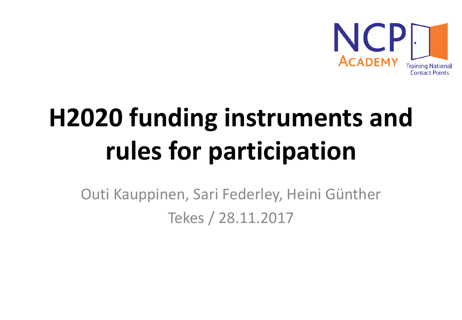

# **H2020 funding instruments and rules for participation**

Outi Kauppinen, Sari Federley, Heini Günther Tekes / 28.11.2017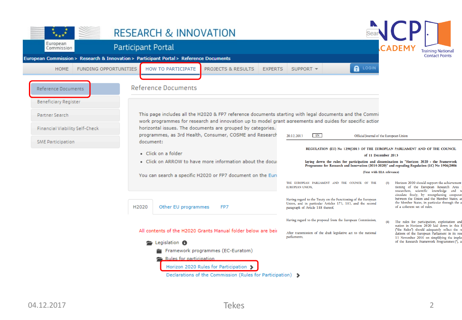|                                                                                        | <b>RESEARCH &amp; INNOVATION</b>                                                                                                                                                                                  |                                                                                                                                                                   |                                                                                                                                                                                             |
|----------------------------------------------------------------------------------------|-------------------------------------------------------------------------------------------------------------------------------------------------------------------------------------------------------------------|-------------------------------------------------------------------------------------------------------------------------------------------------------------------|---------------------------------------------------------------------------------------------------------------------------------------------------------------------------------------------|
| European<br>Commission                                                                 | <b>Participant Portal</b>                                                                                                                                                                                         |                                                                                                                                                                   | <b>Training National</b>                                                                                                                                                                    |
| European Commission > Research & Innovation > Participant Portal > Reference Documents |                                                                                                                                                                                                                   |                                                                                                                                                                   | <b>Contact Points</b>                                                                                                                                                                       |
| <b>FUNDING OPPORTUNITIES</b><br><b>HOME</b>                                            | HOW TO PARTICIPATE<br>PROJECTS & RESULTS<br><b>EXPERTS</b>                                                                                                                                                        | <b>A</b> LOGIN<br>SUPPORT -                                                                                                                                       |                                                                                                                                                                                             |
| Reference Documents                                                                    | <b>Reference Documents</b>                                                                                                                                                                                        |                                                                                                                                                                   |                                                                                                                                                                                             |
| <b>Beneficiary Register</b>                                                            |                                                                                                                                                                                                                   |                                                                                                                                                                   |                                                                                                                                                                                             |
| Partner Search                                                                         | This page includes all the H2020 & FP7 reference documents starting with legal documents and the Commi<br>work programmes for research and innovation up to model grant agreements and quides for specific actior |                                                                                                                                                                   |                                                                                                                                                                                             |
| Financial Viability Self-Check                                                         | horizontal issues. The documents are grouped by categories.<br>programmes, as 3rd Health, Consumer, COSME and Research                                                                                            | EN<br>20.12.2013                                                                                                                                                  | Official Journal of the European Union                                                                                                                                                      |
| SME Participation                                                                      | document:                                                                                                                                                                                                         |                                                                                                                                                                   |                                                                                                                                                                                             |
|                                                                                        | • Click on a folder                                                                                                                                                                                               |                                                                                                                                                                   | REGULATION (EU) No 1290/2013 OF THE EUROPEAN PARLIAMENT AND OF THE COUNCIL<br>of 11 December 2013                                                                                           |
|                                                                                        | . Click on ARROW to have more information about the docul                                                                                                                                                         |                                                                                                                                                                   | laying down the rules for participation and dissemination in "Horizon 2020 - the Framework<br>Programme for Research and Innovation (2014-2020)" and repealing Regulation (EC) No 1906/2006 |
|                                                                                        | You can search a specific H2020 or FP7 document on the Euro                                                                                                                                                       |                                                                                                                                                                   | (Text with EEA relevance)                                                                                                                                                                   |
|                                                                                        |                                                                                                                                                                                                                   | THE EUROPEAN PARLIAMENT AND THE COUNCIL OF THE<br><b>EUROPEAN UNION,</b>                                                                                          | Horizon 2020 should support the achievement<br>tioning of the European Research Area<br>researchers, scientific knowledge and t                                                             |
|                                                                                        | H2020<br>Other EU programmes<br>FP7                                                                                                                                                                               | Having regard to the Treaty on the Functioning of the European<br>Union, and in particular Articles 173, 183, and the second<br>paragraph of Article 188 thereof, | circulate freely, by strengthening cooperat<br>between the Union and the Member States, a<br>the Member States, in particular through the a<br>of a coherent set of rules.                  |
|                                                                                        |                                                                                                                                                                                                                   | Having regard to the proposal from the European Commission,                                                                                                       | The rules for participation, exploitation and<br>nation in Horizon 2020 laid down in this<br>("the Rules") should adequately reflect the r                                                  |
|                                                                                        | All contents of the H2020 Grants Manual folder below are beir                                                                                                                                                     | After transmission of the draft legislative act to the national<br>parliaments,                                                                                   | dations of the European Parliament in its res<br>11 November 2010 on simplifying the imple                                                                                                  |
|                                                                                        | <b>E</b> Legislation <b>®</b>                                                                                                                                                                                     |                                                                                                                                                                   | of the Research Framework Programmes (5), a                                                                                                                                                 |
|                                                                                        | Framework programmes (EC-Euratom)                                                                                                                                                                                 |                                                                                                                                                                   |                                                                                                                                                                                             |
|                                                                                        | <b>Rules for participation</b><br>Horizon 2020 Rules for Participation >                                                                                                                                          |                                                                                                                                                                   |                                                                                                                                                                                             |
|                                                                                        | Declarations of the Commission (Rules for Participation) >                                                                                                                                                        |                                                                                                                                                                   |                                                                                                                                                                                             |
|                                                                                        |                                                                                                                                                                                                                   |                                                                                                                                                                   |                                                                                                                                                                                             |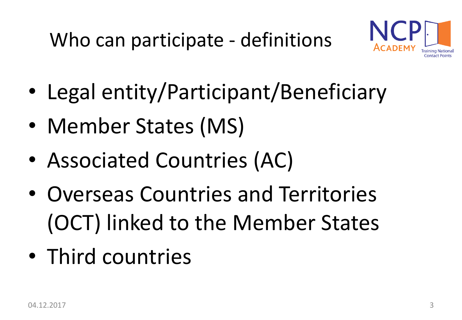

- Legal entity/Participant/Beneficiary
- Member States (MS)
- Associated Countries (AC)
- Overseas Countries and Territories (OCT) linked to the Member States
- Third countries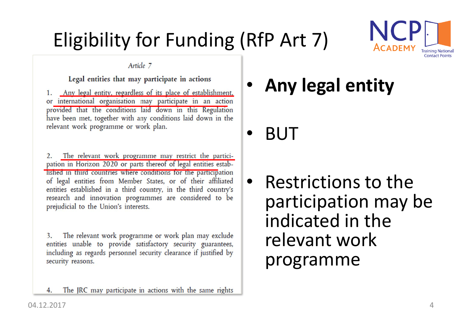### Eligibility for Funding (RfP Art 7)



Article 7

Legal entities that may participate in actions

1. Any legal entity, regardless of its place of establishment, or international organisation may participate in an action provided that the conditions laid down in this Regulation have been met, together with any conditions laid down in the relevant work programme or work plan.

The relevant work programme may restrict the partici-2. pation in Horizon 2020 or parts thereof of legal entities established in third countries where conditions for the participation of legal entities from Member States, or of their affiliated entities established in a third country, in the third country's research and innovation programmes are considered to be prejudicial to the Union's interests.

 $3.$ The relevant work programme or work plan may exclude entities unable to provide satisfactory security guarantees, including as regards personnel security clearance if justified by security reasons.

The JRC may participate in actions with the same rights

• **Any legal entity**

• BUT

• Restrictions to the participation may be indicated in the relevant work programme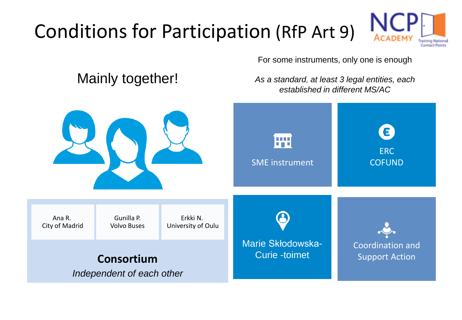### Conditions for Participation (RfP Art 9)



For some instruments, only one is enough

### Mainly together!

*As a standard, at least 3 legal entities, each established in different MS/AC*

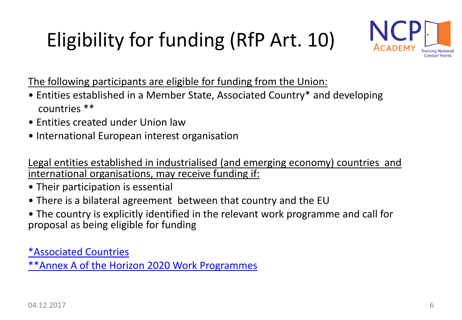## Eligibility for funding (RfP Art. 10)



The following participants are eligible for funding from the Union:

- Entities established in a Member State, Associated Country\* and developing countries \*\*
- Entities created under Union law
- International European interest organisation

Legal entities established in industrialised (and emerging economy) countries and international organisations, may receive funding if:

- Their participation is essential
- There is a bilateral agreement between that country and the EU
- The country is explicitly identified in the relevant work programme and call for proposal as being eligible for funding

[\\*Associated Countries](http://ec.europa.eu/research/participants/data/ref/h2020/grants_manual/hi/3cpart/h2020-hi-list-ac_en.pdf) [\\*\\*Annex A of the Horizon 2020 Work Programmes](http://ec.europa.eu/research/participants/data/ref/h2020/other/wp/2018-2020/annexes/h2020-wp1820-annex-a-countries-rules_en.pdf)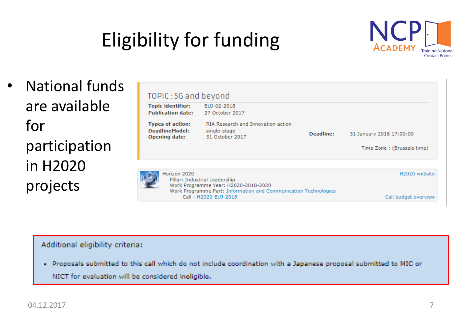## Eligibility for funding



• National funds are available for participation in H2020 projects

| TOPIC: 5G and beyond                                                                                                                                     |                                                                       |               |                            |
|----------------------------------------------------------------------------------------------------------------------------------------------------------|-----------------------------------------------------------------------|---------------|----------------------------|
| <b>Topic identifier:</b><br><b>Publication date:</b>                                                                                                     | EUJ-02-2018<br>27 October 2017                                        |               |                            |
| <b>Types of action:</b><br>DeadlineModel:<br><b>Opening date:</b>                                                                                        | RIA Research and Innovation action<br>single-stage<br>31 October 2017 | Deadline:     | 31 January 2018 17:00:00   |
|                                                                                                                                                          |                                                                       |               | Time Zone: (Brussels time) |
| Horizon 2020<br>Pillar: Industrial Leadership<br>Work Programme Year: H2020-2018-2020<br>Work Programme Part: Information and Communication Technologies |                                                                       | H2020 website |                            |
|                                                                                                                                                          | Call: H2020-EUJ-2018                                                  |               | Call budget overview       |

#### Additional eligibility criteria:

· Proposals submitted to this call which do not include coordination with a Japanese proposal submitted to MIC or NICT for evaluation will be considered ineligible.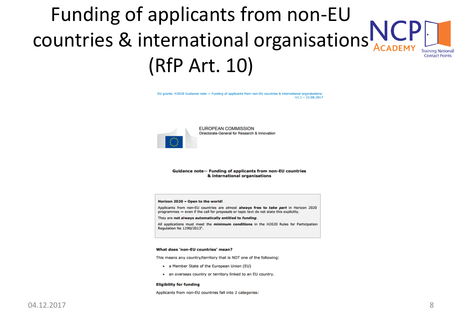### Funding of applicants from non-EU countries & international organisations **Training Nationa Contact Points** (RfP Art. 10)

EU grants: H2020 Guidance note - Funding of applicants from non-EU countries & international organisations:  $V2.1 - 22.08.2017$ 



**EUROPEAN COMMISSION** Directorate-General for Research & Innovation

#### Guidance note- Funding of applicants from non-EU countries & international organisations

#### Horizon 2020 - Open to the world!

Applicants from non-EU countries are almost always free to take part in Horizon 2020 programmes - even if the call for proposals or topic text do not state this explicitly.

They are not always automatically entitled to funding.

All applications must meet the minimum conditions in the H2020 Rules for Participation Regulation No 1290/2013<sup>1</sup>.

#### What does 'non-EU countries' mean?

This means any country/territory that is NOT one of the following:

- a Member State of the European Union (EU)
- . an overseas country or territory linked to an EU country.

#### **Eligibility for funding**

Applicants from non-EU countries fall into 2 categories: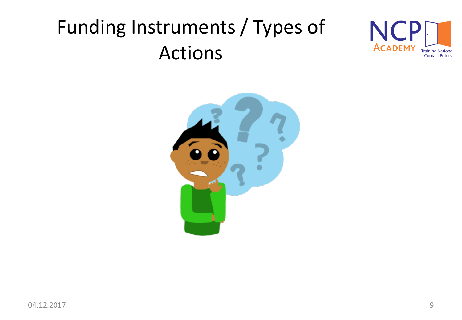### Funding Instruments / Types of Actions



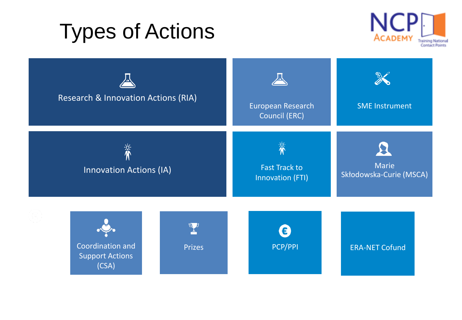### Types of Actions



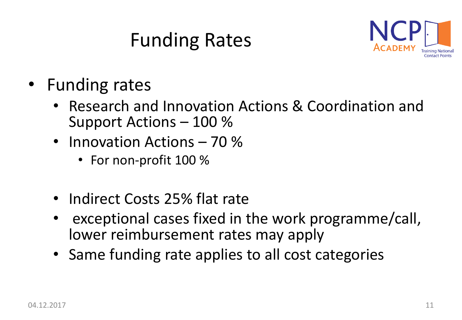### Funding Rates



- Funding rates
	- Research and Innovation Actions & Coordination and Support Actions – 100 %
	- Innovation Actions 70 %
		- For non-profit 100 %
	- Indirect Costs 25% flat rate
	- exceptional cases fixed in the work programme/call, lower reimbursement rates may apply
	- Same funding rate applies to all cost categories